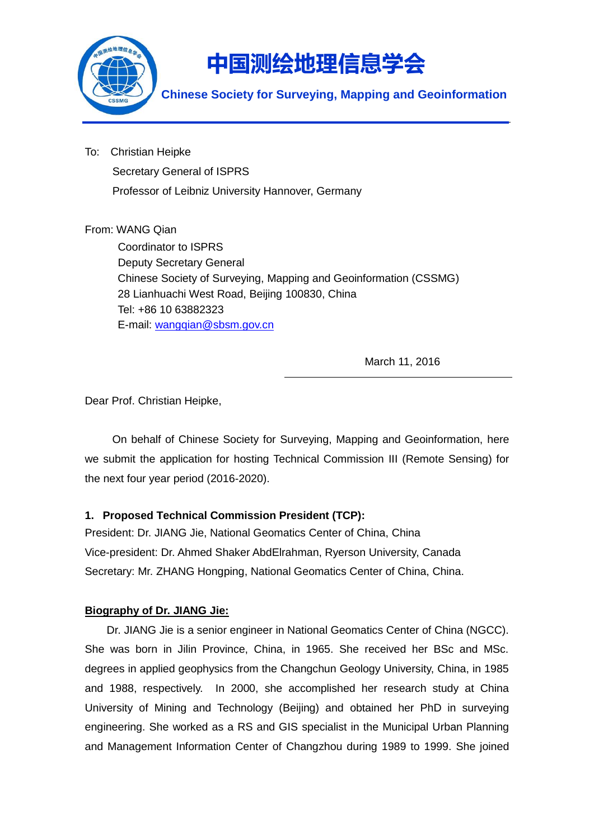

To: Christian Heipke Secretary General of ISPRS Professor of Leibniz University Hannover, Germany

## From: WANG Qian

Coordinator to ISPRS Deputy Secretary General Chinese Society of Surveying, Mapping and Geoinformation (CSSMG) 28 Lianhuachi West Road, Beijing 100830, China Tel: +86 10 63882323 E-mail: [wangqian@sbsm.gov.cn](mailto:wangqian@sbsm.gov.cn)

March 11, 2016

Dear Prof. Christian Heipke,

On behalf of Chinese Society for Surveying, Mapping and Geoinformation, here we submit the application for hosting Technical Commission III (Remote Sensing) for the next four year period (2016-2020).

### **1. Proposed Technical Commission President (TCP):**

President: Dr. JIANG Jie, National Geomatics Center of China, China Vice-president: Dr. Ahmed Shaker AbdElrahman, Ryerson University, Canada Secretary: Mr. ZHANG Hongping, National Geomatics Center of China, China.

### **Biography of Dr. JIANG Jie:**

Dr. JIANG Jie is a senior engineer in National Geomatics Center of China (NGCC). She was born in Jilin Province, China, in 1965. She received her BSc and MSc. degrees in applied geophysics from the Changchun Geology University, China, in 1985 and 1988, respectively. In 2000, she accomplished her research study at China University of Mining and Technology (Beijing) and obtained her PhD in surveying engineering. She worked as a RS and GIS specialist in the Municipal Urban Planning and Management Information Center of Changzhou during 1989 to 1999. She joined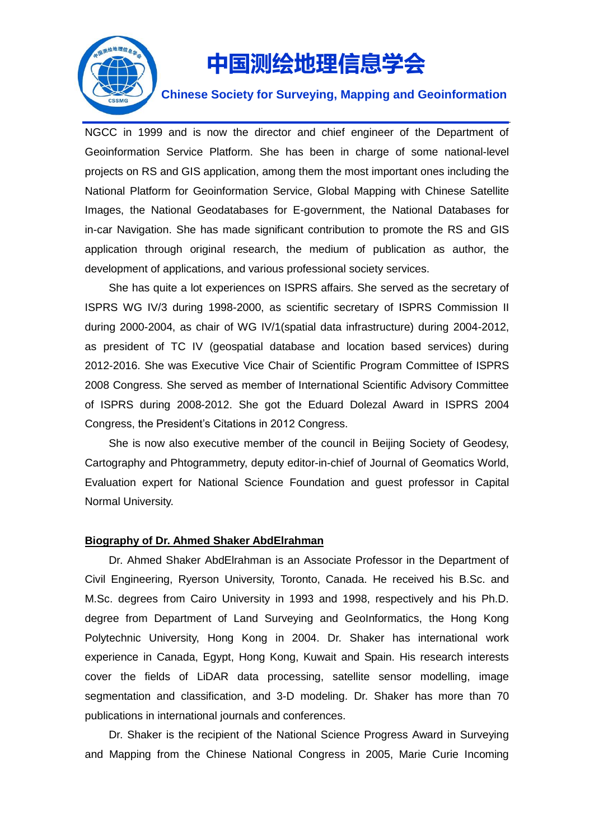

#### **Chinese Society for Surveying, Mapping and Geoinformation**

NGCC in 1999 and is now the director and chief engineer of the Department of Geoinformation Service Platform. She has been in charge of some national-level projects on RS and GIS application, among them the most important ones including the National Platform for Geoinformation Service, Global Mapping with Chinese Satellite Images, the National Geodatabases for E-government, the National Databases for in-car Navigation. She has made significant contribution to promote the RS and GIS application through original research, the medium of publication as author, the development of applications, and various professional society services.

She has quite a lot experiences on ISPRS affairs. She served as the secretary of ISPRS WG IV/3 during 1998-2000, as scientific secretary of ISPRS Commission II during 2000-2004, as chair of WG IV/1(spatial data infrastructure) during 2004-2012, as president of TC IV (geospatial database and location based services) during 2012-2016. She was Executive Vice Chair of Scientific Program Committee of ISPRS 2008 Congress. She served as member of International Scientific Advisory Committee of ISPRS during 2008-2012. She got the Eduard Dolezal Award in ISPRS 2004 Congress, the President's Citations in 2012 Congress.

She is now also executive member of the council in Beijing Society of Geodesy, Cartography and Phtogrammetry, deputy editor-in-chief of Journal of Geomatics World, Evaluation expert for National Science Foundation and guest professor in Capital Normal University.

#### **Biography of Dr. Ahmed Shaker AbdElrahman**

Dr. Ahmed Shaker AbdElrahman is an Associate Professor in the Department of Civil Engineering, Ryerson University, Toronto, Canada. He received his B.Sc. and M.Sc. degrees from Cairo University in 1993 and 1998, respectively and his Ph.D. degree from Department of Land Surveying and GeoInformatics, the Hong Kong Polytechnic University, Hong Kong in 2004. Dr. Shaker has international work experience in Canada, Egypt, Hong Kong, Kuwait and Spain. His research interests cover the fields of LiDAR data processing, satellite sensor modelling, image segmentation and classification, and 3-D modeling. Dr. Shaker has more than 70 publications in international journals and conferences.

Dr. Shaker is the recipient of the National Science Progress Award in Surveying and Mapping from the Chinese National Congress in 2005, Marie Curie Incoming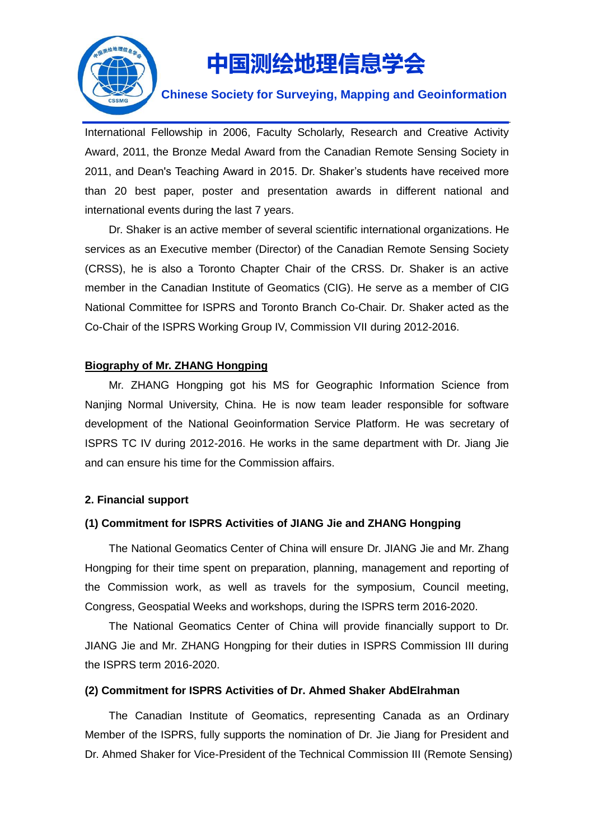

## **Chinese Society for Surveying, Mapping and Geoinformation**

International Fellowship in 2006, Faculty Scholarly, Research and Creative Activity Award, 2011, the Bronze Medal Award from the Canadian Remote Sensing Society in 2011, and Dean's Teaching Award in 2015. Dr. Shaker's students have received more than 20 best paper, poster and presentation awards in different national and international events during the last 7 years.

Dr. Shaker is an active member of several scientific international organizations. He services as an Executive member (Director) of the Canadian Remote Sensing Society (CRSS), he is also a Toronto Chapter Chair of the CRSS. Dr. Shaker is an active member in the Canadian Institute of Geomatics (CIG). He serve as a member of CIG National Committee for ISPRS and Toronto Branch Co-Chair. Dr. Shaker acted as the Co-Chair of the ISPRS Working Group IV, Commission VII during 2012-2016.

#### **Biography of Mr. ZHANG Hongping**

Mr. ZHANG Hongping got his MS for Geographic Information Science from Nanjing Normal University, China. He is now team leader responsible for software development of the National Geoinformation Service Platform. He was secretary of ISPRS TC IV during 2012-2016. He works in the same department with Dr. Jiang Jie and can ensure his time for the Commission affairs.

#### **2. Financial support**

#### **(1) Commitment for ISPRS Activities of JIANG Jie and ZHANG Hongping**

The National Geomatics Center of China will ensure Dr. JIANG Jie and Mr. Zhang Hongping for their time spent on preparation, planning, management and reporting of the Commission work, as well as travels for the symposium, Council meeting, Congress, Geospatial Weeks and workshops, during the ISPRS term 2016-2020.

The National Geomatics Center of China will provide financially support to Dr. JIANG Jie and Mr. ZHANG Hongping for their duties in ISPRS Commission III during the ISPRS term 2016-2020.

#### **(2) Commitment for ISPRS Activities of Dr. Ahmed Shaker AbdElrahman**

The Canadian Institute of Geomatics, representing Canada as an Ordinary Member of the ISPRS, fully supports the nomination of Dr. Jie Jiang for President and Dr. Ahmed Shaker for Vice-President of the Technical Commission III (Remote Sensing)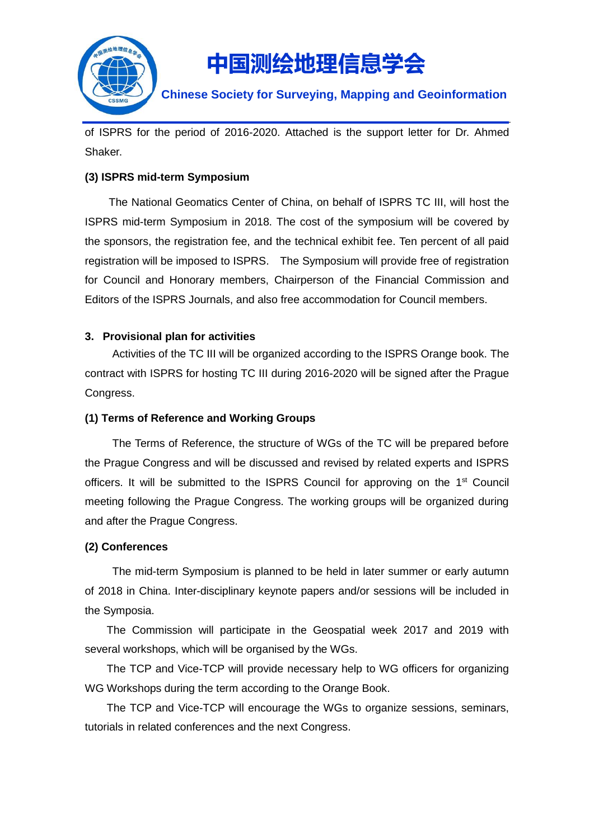

## **Chinese Society for Surveying, Mapping and Geoinformation**

of ISPRS for the period of 2016-2020. Attached is the support letter for Dr. Ahmed Shaker.

## **(3) ISPRS mid-term Symposium**

The National Geomatics Center of China, on behalf of ISPRS TC III, will host the ISPRS mid-term Symposium in 2018. The cost of the symposium will be covered by the sponsors, the registration fee, and the technical exhibit fee. Ten percent of all paid registration will be imposed to ISPRS. The Symposium will provide free of registration for Council and Honorary members, Chairperson of the Financial Commission and Editors of the ISPRS Journals, and also free accommodation for Council members.

## **3. Provisional plan for activities**

Activities of the TC III will be organized according to the ISPRS Orange book. The contract with ISPRS for hosting TC III during 2016-2020 will be signed after the Prague Congress.

## **(1) Terms of Reference and Working Groups**

The Terms of Reference, the structure of WGs of the TC will be prepared before the Prague Congress and will be discussed and revised by related experts and ISPRS officers. It will be submitted to the ISPRS Council for approving on the 1<sup>st</sup> Council meeting following the Prague Congress. The working groups will be organized during and after the Prague Congress.

### **(2) Conferences**

The mid-term Symposium is planned to be held in later summer or early autumn of 2018 in China. Inter-disciplinary keynote papers and/or sessions will be included in the Symposia.

The Commission will participate in the Geospatial week 2017 and 2019 with several workshops, which will be organised by the WGs.

The TCP and Vice-TCP will provide necessary help to WG officers for organizing WG Workshops during the term according to the Orange Book.

The TCP and Vice-TCP will encourage the WGs to organize sessions, seminars, tutorials in related conferences and the next Congress.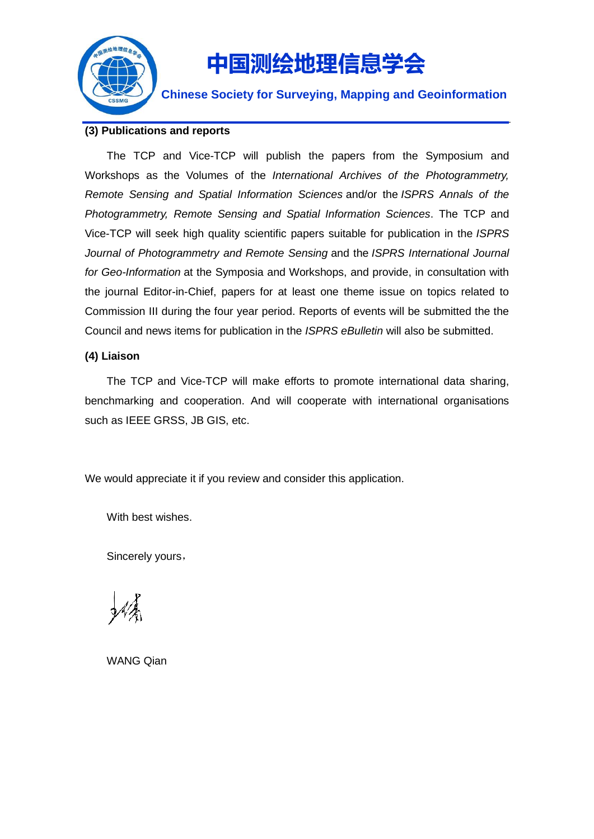

**Chinese Society for Surveying, Mapping and Geoinformation**

#### **(3) Publications and reports**

The TCP and Vice-TCP will publish the papers from the Symposium and Workshops as the Volumes of the *International Archives of the Photogrammetry, Remote Sensing and Spatial Information Sciences* and/or the *ISPRS Annals of the Photogrammetry, Remote Sensing and Spatial Information Sciences*. The TCP and Vice-TCP will seek high quality scientific papers suitable for publication in the *ISPRS Journal of Photogrammetry and Remote Sensing* and the *ISPRS International Journal for Geo-Information* at the Symposia and Workshops, and provide, in consultation with the journal Editor-in-Chief, papers for at least one theme issue on topics related to Commission III during the four year period. Reports of events will be submitted the the Council and news items for publication in the *ISPRS eBulletin* will also be submitted.

#### **(4) Liaison**

The TCP and Vice-TCP will make efforts to promote international data sharing, benchmarking and cooperation. And will cooperate with international organisations such as IEEE GRSS, JB GIS, etc.

We would appreciate it if you review and consider this application.

With best wishes.

Sincerely yours,

WANG Qian